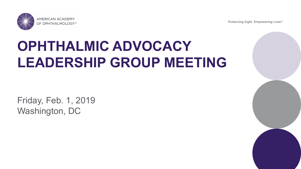Protecting Sight. Empowering Lives.®



## **OPHTHALMIC ADVOCACY LEADERSHIP GROUP MEETING**

Friday, Feb. 1, 2019 Washington, DC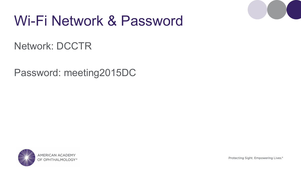

### Wi-Fi Network & Password

#### Network: DCCTR

#### Password: meeting2015DC

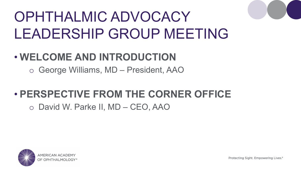#### • **WELCOME AND INTRODUCTION**

o George Williams, MD – President, AAO

#### • **PERSPECTIVE FROM THE CORNER OFFICE**

o David W. Parke II, MD – CEO, AAO

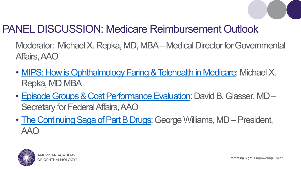

#### PANEL DISCUSSION: Medicare Reimbursement Outlook

Moderator: Michael X. Repka, MD, MBA – Medical Director for Governmental Affairs, AAO

- MIPS: How is Ophthalmology Faring & Telehealth in Medicare: Michael X. Repka, MD MBA
- Episode Groups & Cost Performance Evaluation: David B. Glasser, MD Secretary for Federal Affairs, AAO
- The Continuing Saga of Part B Drugs: George Williams, MD President, AAO

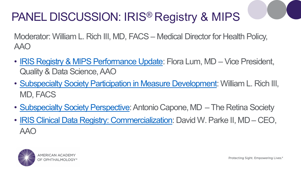### PANEL DISCUSSION: IRIS® Registry & MIPS

Moderator: William L. Rich III, MD, FACS – Medical Director for Health Policy, AAO

- IRIS Registry & MIPS Performance Update: Flora Lum, MD Vice President, Quality & Data Science, AAO
- Subspecialty Society Participation in Measure Development: William L. Rich III, MD, FACS
- Subspecialty Society Perspective: Antonio Capone, MD The Retina Society
- IRIS Clinical Data Registry: Commercialization: David W. Parke II, MD CEO, AAO

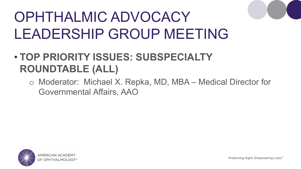#### • **TOP PRIORITY ISSUES: SUBSPECIALTY ROUNDTABLE (ALL)**

o Moderator: Michael X. Repka, MD, MBA – Medical Director for Governmental Affairs, AAO

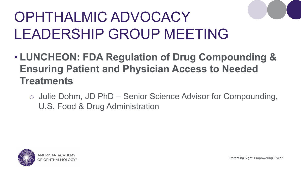- **LUNCHEON: FDA Regulation of Drug Compounding & Ensuring Patient and Physician Access to Needed Treatments**
	- o Julie Dohm, JD PhD Senior Science Advisor for Compounding, U.S. Food & Drug Administration

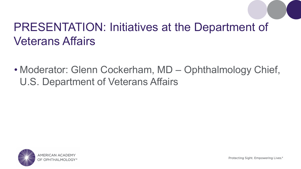### PRESENTATION: Initiatives at the Department of Veterans Affairs

• Moderator: Glenn Cockerham, MD – Ophthalmology Chief, U.S. Department of Veterans Affairs

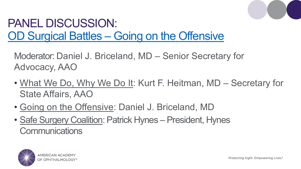

#### PANEL DISCUSSION: OD Surgical Battles – Going on the Offensive

Moderator: Daniel J. Briceland, MD – Senior Secretary for Advocacy, AAO

- What We Do, Why We Do It: Kurt F. Heitman, MD Secretary for State Affairs, AAO
- Going on the Offensive: Daniel J. Briceland, MD
- Safe Surgery Coalition: Patrick Hynes President, Hynes **Communications**

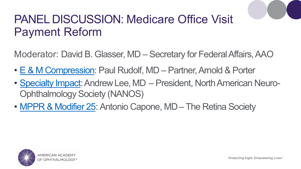#### PANEL DISCUSSION: Medicare Office Visit Payment Reform

Moderator: David B. Glasser, MD – Secretary for Federal Affairs, AAO

- E & M Compression: Paul Rudolf, MD Partner, Arnold & Porter
- Specialty Impact: Andrew Lee, MD President, North American Neuro-Ophthalmology Society (NANOS)
- MPPR & Modifier 25: Antonio Capone, MD The Retina Society

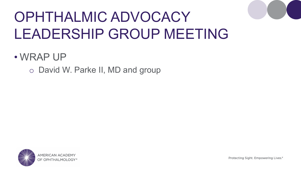#### • WRAP UP

o David W. Parke II, MD and group

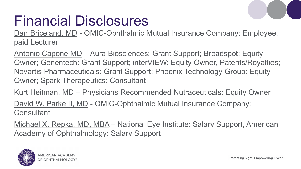## Financial Disclosures

Dan Briceland, MD - OMIC-Ophthalmic Mutual Insurance Company: Employee, paid Lecturer

Antonio Capone MD – Aura Biosciences: Grant Support; Broadspot: Equity Owner; Genentech: Grant Support; interVIEW: Equity Owner, Patents/Royalties; Novartis Pharmaceuticals: Grant Support; Phoenix Technology Group: Equity Owner; Spark Therapeutics: Consultant

Kurt Heitman, MD – Physicians Recommended Nutraceuticals: Equity Owner

David W. Parke II, MD - OMIC-Ophthalmic Mutual Insurance Company: **Consultant** 

Michael X. Repka, MD, MBA – National Eye Institute: Salary Support, American Academy of Ophthalmology: Salary Support

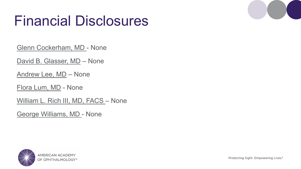## Financial Disclosures

Glenn Cockerham, MD - None

David B. Glasser, MD - None

Andrew Lee, MD – None

Flora Lum, MD - None

William L. Rich III, MD, FACS - None

George Williams, MD - None